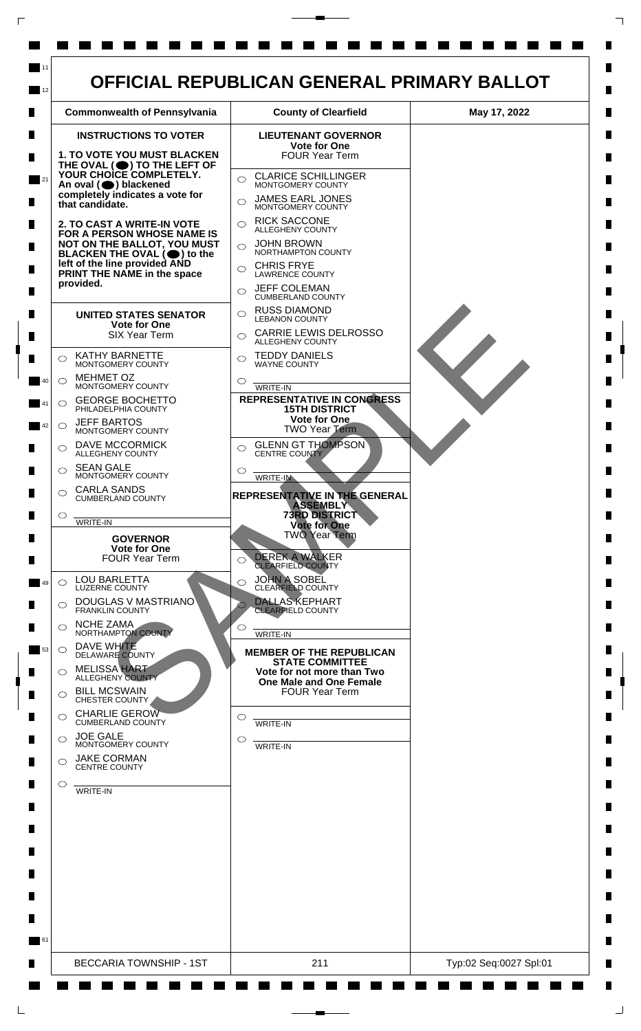

L

 $\Box$